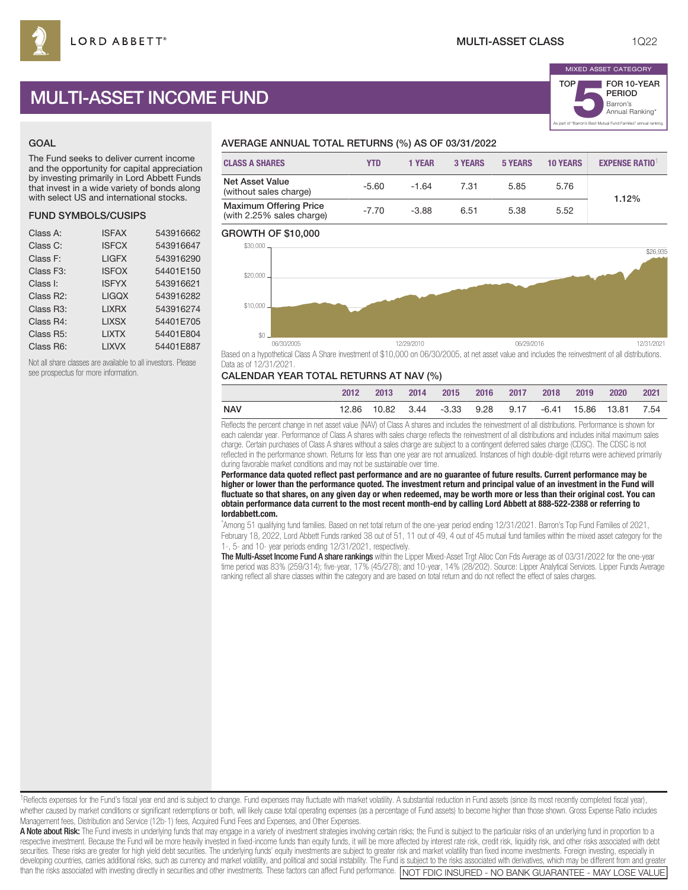# MULTI-ASSET INCOME FUND

## GOAL

The Fund seeks to deliver current income and the opportunity for capital appreciation by investing primarily in Lord Abbett Funds that invest in a wide variety of bonds along with select US and international stocks.

## FUND SYMBOLS/CUSIPS

| Class A:               | <b>ISFAX</b> | 543916662 |
|------------------------|--------------|-----------|
| Class C:               | <b>ISFCX</b> | 543916647 |
| Class F:               | <b>LIGFX</b> | 543916290 |
| Class F <sub>3</sub> : | <b>ISFOX</b> | 54401E150 |
| Class I:               | <b>ISFYX</b> | 543916621 |
| Class R2:              | <b>LIGQX</b> | 543916282 |
| Class R <sub>3</sub> : | <b>LIXRX</b> | 543916274 |
| Class R4:              | <b>LIXSX</b> | 54401E705 |
| Class R <sub>5</sub> : | <b>LIXTX</b> | 54401E804 |
| Class R6:              | <b>LIXVX</b> | 54401E887 |
|                        |              |           |

Not all share classes are available to all investors. Please see prospectus for more information.

## AVERAGE ANNUAL TOTAL RETURNS (%) AS OF 03/31/2022

| <b>CLASS A SHARES</b>                                      | YTD     | 1 YEAR  | 3 YEARS | 5 YEARS | <b>10 YEARS</b> | <b>EXPENSE RATIO<sup>1</sup></b> |
|------------------------------------------------------------|---------|---------|---------|---------|-----------------|----------------------------------|
| <b>Net Asset Value</b><br>(without sales charge)           | $-5.60$ | $-1.64$ | 7.31    | 5.85    | 5.76            | 1.12%                            |
| <b>Maximum Offering Price</b><br>(with 2.25% sales charge) | $-7.70$ | $-3.88$ | 6.51    | 5.38    | 5.52            |                                  |

#### GROWTH OF \$10,000



Based on a hypothetical Class A Share investment of \$10,000 on 06/30/2005, at net asset value and includes the reinvestment of all distributions. Data as of 12/31/2021.

## CALENDAR YEAR TOTAL RETURNS AT NAV (%)

|     | 2012 | $-2013$ | $-2014$ | 2015 2016 2017 2018                                     |  | 2019 | 2020 | 2021 |
|-----|------|---------|---------|---------------------------------------------------------|--|------|------|------|
| NAV |      |         |         | 12.86 10.82 3.44 -3.33 9.28 9.17 -6.41 15.86 13.81 7.54 |  |      |      |      |

Reflects the percent change in net asset value (NAV) of Class A shares and includes the reinvestment of all distributions. Performance is shown for each calendar year. Performance of Class A shares with sales charge reflects the reinvestment of all distributions and includes initial maximum sales charge. Certain purchases of Class A shares without a sales charge are subject to a contingent deferred sales charge (CDSC). The CDSC is not reflected in the performance shown. Returns for less than one year are not annualized. Instances of high double-digit returns were achieved primarily during favorable market conditions and may not be sustainable over time.

**Performance data quoted reflect past performance and are no guarantee of future results. Current performance may be higher or lower than the performance quoted. The investment return and principal value of an investment in the Fund will fluctuate so that shares, on any given day or when redeemed, may be worth more or less than their original cost. You can obtain performance data current to the most recent month-end by calling Lord Abbett at 888-522-2388 or referring to lordabbett.com.**

\* Among 51 qualifying fund families. Based on net total return of the one-year period ending 12/31/2021. Barron's Top Fund Families of 2021, February 18, 2022, Lord Abbett Funds ranked 38 out of 51, 11 out of 49, 4 out of 45 mutual fund families within the mixed asset category for the 1-, 5- and 10- year periods ending 12/31/2021, respectively.

The Multi-Asset Income Fund A share rankings within the Lipper Mixed-Asset Trgt Alloc Con Fds Average as of 03/31/2022 for the one-year time period was 83% (259/314); five-year, 17% (45/278); and 10-year, 14% (28/202). Source: Lipper Analytical Services. Lipper Funds Average ranking reflect all share classes within the category and are based on total return and do not reflect the effect of sales charges.

<sup>1</sup>Reflects expenses for the Fund's fiscal year end and is subject to change. Fund expenses may fluctuate with market volatility. A substantial reduction in Fund assets (since its most recently completed fiscal year), whether caused by market conditions or significant redemptions or both, will likely cause total operating expenses (as a percentage of Fund assets) to become higher than those shown. Gross Expense Ratio includes Management fees, Distribution and Service (12b-1) fees, Acquired Fund Fees and Expenses, and Other Expenses.

A Note about Risk: The Fund invests in underlying funds that may engage in a variety of investment strategies involving certain risks; the Fund is subject to the particular risks of an underlying fund in proportion to a respective investment. Because the Fund will be more heavily invested in fixed-income funds than equity funds, it will be more affected by interest rate risk, credit risk, liquidity risk, and other risks associated with de securities. These risks are greater for high yield debt securities. The underlying funds' equity investments are subject to greater risk and market volatility than fixed income investments. Foreign investing, especially in developing countries, carries additional risks, such as currency and market volatility, and political and social instability. The Fund is subject to the risks associated with derivatives, which may be different from and gr than the risks associated with investing directly in securities and other investments. These factors can affect Fund performance. NOT FDIC INSURED - NO BANK GUARANTEE - MAY LOSE VALUE